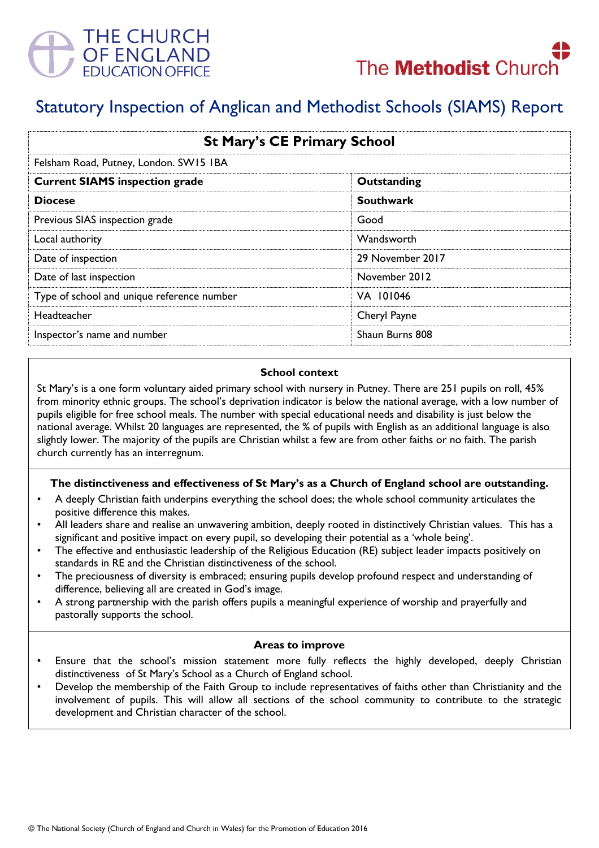



# Statutory Inspection of Anglican and Methodist Schools (SIAMS) Report

| <b>St Mary's CE Primary School</b>         |                  |
|--------------------------------------------|------------------|
| Felsham Road, Putney, London. SW15 IBA     |                  |
| <b>Current SIAMS inspection grade</b>      | Outstanding      |
| <b>Diocese</b>                             | <b>Southwark</b> |
| Previous SIAS inspection grade             | Good             |
| Local authority                            | Wandsworth       |
| Date of inspection                         | 29 November 2017 |
| Date of last inspection                    | November 2012    |
| Type of school and unique reference number | VA 101046        |
| <b>Headteacher</b>                         | Cheryl Payne     |
| Inspector's name and number                | Shaun Burns 808  |

#### **School context**

St Mary's is a one form voluntary aided primary school with nursery in Putney. There are 251 pupils on roll, 45% from minority ethnic groups. The school's deprivation indicator is below the national average, with a low number of pupils eligible for free school meals. The number with special educational needs and disability is just below the national average. Whilst 20 languages are represented, the % of pupils with English as an additional language is also slightly lower. The majority of the pupils are Christian whilst a few are from other faiths or no faith. The parish church currently has an interregnum.

#### **The distinctiveness and effectiveness of St Mary's as a Church of England school are outstanding.**

- A deeply Christian faith underpins everything the school does; the whole school community articulates the positive difference this makes.
- All leaders share and realise an unwavering ambition, deeply rooted in distinctively Christian values. This has a significant and positive impact on every pupil, so developing their potential as a 'whole being'.
- The effective and enthusiastic leadership of the Religious Education (RE) subject leader impacts positively on standards in RE and the Christian distinctiveness of the school.
- The preciousness of diversity is embraced; ensuring pupils develop profound respect and understanding of difference, believing all are created in God's image.
- A strong partnership with the parish offers pupils a meaningful experience of worship and prayerfully and pastorally supports the school.

#### **Areas to improve**

- Ensure that the school's mission statement more fully reflects the highly developed, deeply Christian distinctiveness of St Mary's School as a Church of England school.
- Develop the membership of the Faith Group to include representatives of faiths other than Christianity and the involvement of pupils. This will allow all sections of the school community to contribute to the strategic development and Christian character of the school.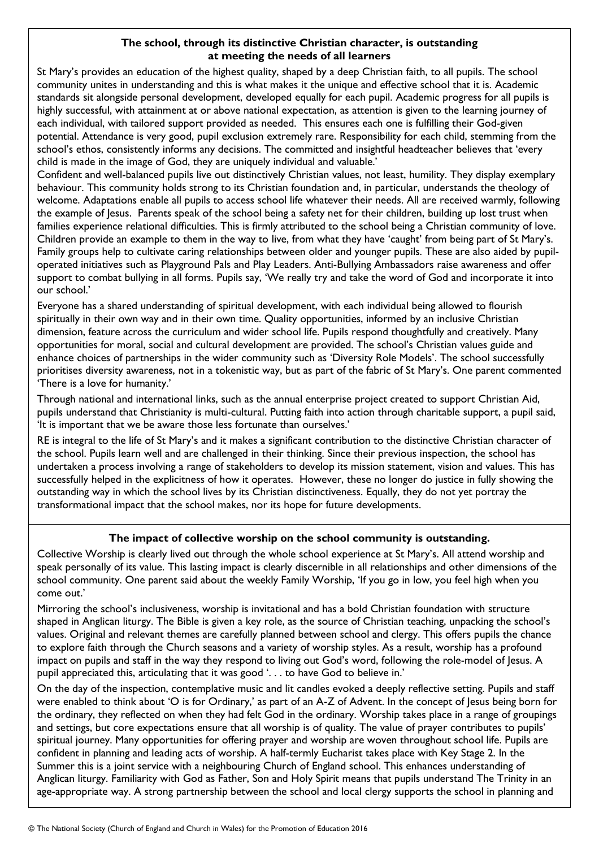## **The school, through its distinctive Christian character, is outstanding at meeting the needs of all learners**

St Mary's provides an education of the highest quality, shaped by a deep Christian faith, to all pupils. The school community unites in understanding and this is what makes it the unique and effective school that it is. Academic standards sit alongside personal development, developed equally for each pupil. Academic progress for all pupils is highly successful, with attainment at or above national expectation, as attention is given to the learning journey of each individual, with tailored support provided as needed. This ensures each one is fulfilling their God-given potential. Attendance is very good, pupil exclusion extremely rare. Responsibility for each child, stemming from the school's ethos, consistently informs any decisions. The committed and insightful headteacher believes that 'every child is made in the image of God, they are uniquely individual and valuable.'

Confident and well-balanced pupils live out distinctively Christian values, not least, humility. They display exemplary behaviour. This community holds strong to its Christian foundation and, in particular, understands the theology of welcome. Adaptations enable all pupils to access school life whatever their needs. All are received warmly, following the example of Jesus. Parents speak of the school being a safety net for their children, building up lost trust when families experience relational difficulties. This is firmly attributed to the school being a Christian community of love. Children provide an example to them in the way to live, from what they have 'caught' from being part of St Mary's. Family groups help to cultivate caring relationships between older and younger pupils. These are also aided by pupiloperated initiatives such as Playground Pals and Play Leaders. Anti-Bullying Ambassadors raise awareness and offer support to combat bullying in all forms. Pupils say, 'We really try and take the word of God and incorporate it into our school.'

Everyone has a shared understanding of spiritual development, with each individual being allowed to flourish spiritually in their own way and in their own time. Quality opportunities, informed by an inclusive Christian dimension, feature across the curriculum and wider school life. Pupils respond thoughtfully and creatively. Many opportunities for moral, social and cultural development are provided. The school's Christian values guide and enhance choices of partnerships in the wider community such as 'Diversity Role Models'. The school successfully prioritises diversity awareness, not in a tokenistic way, but as part of the fabric of St Mary's. One parent commented 'There is a love for humanity.'

Through national and international links, such as the annual enterprise project created to support Christian Aid, pupils understand that Christianity is multi-cultural. Putting faith into action through charitable support, a pupil said, 'It is important that we be aware those less fortunate than ourselves.'

RE is integral to the life of St Mary's and it makes a significant contribution to the distinctive Christian character of the school. Pupils learn well and are challenged in their thinking. Since their previous inspection, the school has undertaken a process involving a range of stakeholders to develop its mission statement, vision and values. This has successfully helped in the explicitness of how it operates. However, these no longer do justice in fully showing the outstanding way in which the school lives by its Christian distinctiveness. Equally, they do not yet portray the transformational impact that the school makes, nor its hope for future developments.

## **The impact of collective worship on the school community is outstanding.**

Collective Worship is clearly lived out through the whole school experience at St Mary's. All attend worship and speak personally of its value. This lasting impact is clearly discernible in all relationships and other dimensions of the school community. One parent said about the weekly Family Worship, 'If you go in low, you feel high when you come out.'

Mirroring the school's inclusiveness, worship is invitational and has a bold Christian foundation with structure shaped in Anglican liturgy. The Bible is given a key role, as the source of Christian teaching, unpacking the school's values. Original and relevant themes are carefully planned between school and clergy. This offers pupils the chance to explore faith through the Church seasons and a variety of worship styles. As a result, worship has a profound impact on pupils and staff in the way they respond to living out God's word, following the role-model of Jesus. A pupil appreciated this, articulating that it was good '. . . to have God to believe in.'

On the day of the inspection, contemplative music and lit candles evoked a deeply reflective setting. Pupils and staff were enabled to think about 'O is for Ordinary,' as part of an A-Z of Advent. In the concept of Jesus being born for the ordinary, they reflected on when they had felt God in the ordinary. Worship takes place in a range of groupings and settings, but core expectations ensure that all worship is of quality. The value of prayer contributes to pupils' spiritual journey. Many opportunities for offering prayer and worship are woven throughout school life. Pupils are confident in planning and leading acts of worship. A half-termly Eucharist takes place with Key Stage 2. In the Summer this is a joint service with a neighbouring Church of England school. This enhances understanding of Anglican liturgy. Familiarity with God as Father, Son and Holy Spirit means that pupils understand The Trinity in an age-appropriate way. A strong partnership between the school and local clergy supports the school in planning and